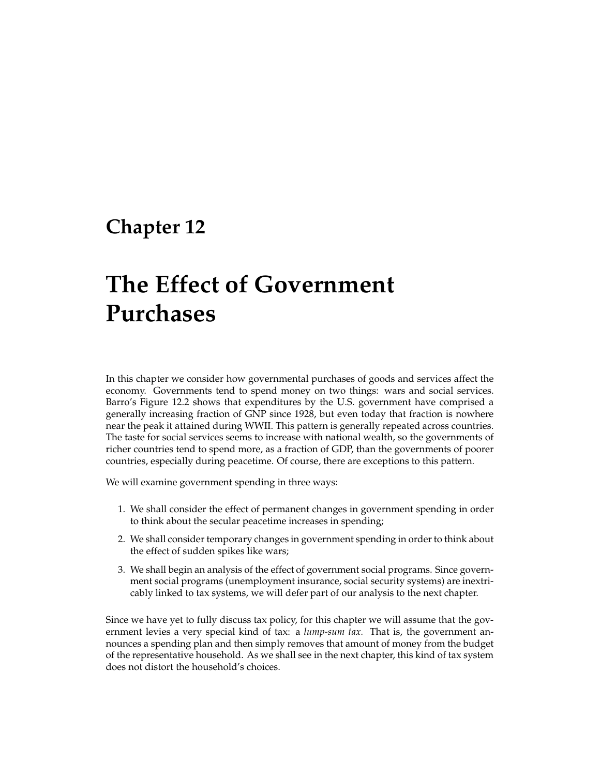# **Chapter 12**

# **The Effect of Government Purchases**

In this chapter we consider how governmental purchases of goods and services affect the economy. Governments tend to spend money on two things: wars and social services. Barro's Figure 12.2 shows that expenditures by the U.S. government have comprised a generally increasing fraction of GNP since 1928, but even today that fraction is nowhere near the peak it attained during WWII. This pattern is generally repeated across countries. The taste for social services seems to increase with national wealth, so the governments of richer countries tend to spend more, as a fraction of GDP, than the governments of poorer countries, especially during peacetime. Of course, there are exceptions to this pattern.

We will examine government spending in three ways:

- 1. We shall consider the effect of permanent changes in government spending in order to think about the secular peacetime increases in spending;
- 2. We shall consider temporary changes in government spending in order to think about the effect of sudden spikes like wars;
- 3. We shall begin an analysis of the effect of government social programs. Since government social programs (unemployment insurance, social security systems) are inextricably linked to tax systems, we will defer part of our analysis to the next chapter.

Since we have yet to fully discuss tax policy, for this chapter we will assume that the government levies a very special kind of tax: a *lump-sum tax.* That is, the government announces a spending plan and then simply removes that amount of money from the budget of the representative household. As we shall see in the next chapter, this kind of tax system does not distort the household's choices.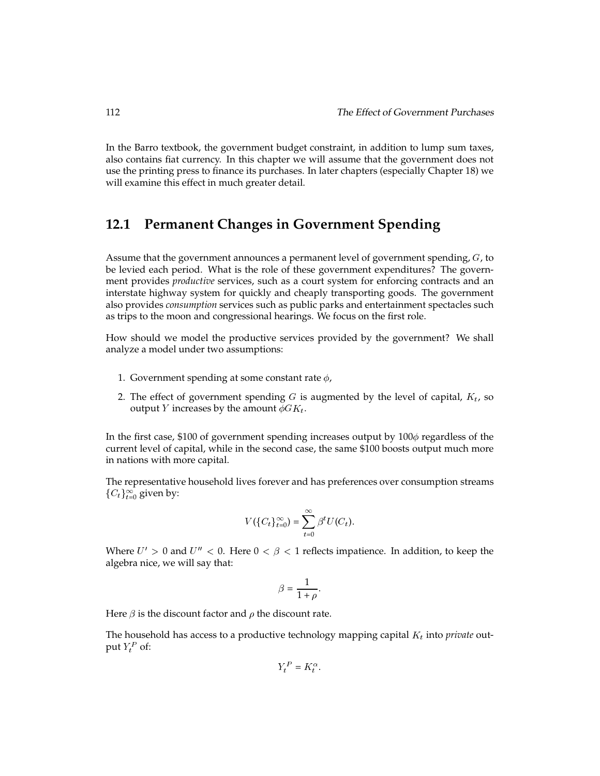In the Barro textbook, the government budget constraint, in addition to lump sum taxes, also contains fiat currency. In this chapter we will assume that the government does not use the printing press to finance its purchases. In later chapters (especially Chapter 18) we will examine this effect in much greater detail.

# **12.1 Permanent Changes in Government Spending**

Assume that the government announces a permanent level of government spending,  $G$ , to be levied each period. What is the role of these government expenditures? The government provides *productive* services, such as a court system for enforcing contracts and an interstate highway system for quickly and cheaply transporting goods. The government also provides *consumption* services such as public parks and entertainment spectacles such as trips to the moon and congressional hearings. We focus on the first role.

How should we model the productive services provided by the government? We shall analyze a model under two assumptions:

- 1. Government spending at some constant rate  $\phi$ ,
- 2. The effect of government spending  $G$  is augmented by the level of capital,  $K_t$ , so output *Y* increases by the amount  $\phi G K_t$ .

In the first case, \$100 of government spending increases output by  $100\phi$  regardless of the current level of capital, while in the second case, the same \$100 boosts output much more in nations with more capital.

The representative household lives forever and has preferences over consumption streams  $\{C_t\}_{t=0}^\infty$  given by:

$$
V(\{C_t\}_{t=0}^{\infty}) = \sum_{t=0}^{\infty} \beta^t U(C_t).
$$

Where  $U' > 0$  and  $U'' < 0$ . Here  $0 < \beta < 1$  reflects impatience. In addition, to keep the algebra nice, we will say that:

$$
\beta = \frac{1}{1+\rho}.
$$

Here  $\beta$  is the discount factor and  $\rho$  the discount rate.

The household has access to a productive technology mapping capital  $K_t$  into *private* output  $Y_t^P$  of:

$$
Y_t^P = K_t^\alpha.
$$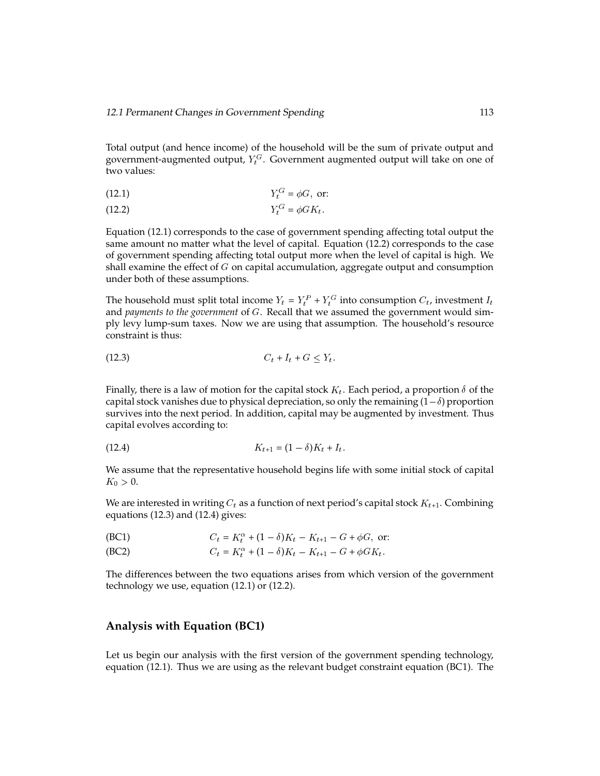Total output (and hence income) of the household will be the sum of private output and government-augmented output,  $Y_t^{G}$ . Government augmented output will take on one of two values:

$$
Y_t^G = \phi G, \text{ or:}
$$

$$
(12.2) \t\t Y_t^G = \phi G K_t.
$$

Equation (12.1) corresponds to the case of government spending affecting total output the same amount no matter what the level of capital. Equation (12.2) corresponds to the case of government spending affecting total output more when the level of capital is high. We shall examine the effect of  $G$  on capital accumulation, aggregate output and consumption under both of these assumptions.

The household must split total income  $Y_t = Y_t^P + Y_t^G$  into consumption  $C_t$ , investment  $I_t$ and *payments to the government* of G. Recall that we assumed the government would simply levy lump-sum taxes. Now we are using that assumption. The household's resource constraint is thus:

$$
(12.3) \tCt + It + G \leq Yt.
$$

Finally, there is a law of motion for the capital stock  $K_t$ . Each period, a proportion  $\delta$  of the capital stock vanishes due to physical depreciation, so only the remaining  $(1-\delta)$  proportion survives into the next period. In addition, capital may be augmented by investment. Thus capital evolves according to:

(12.4) 
$$
K_{t+1} = (1 - \delta)K_t + I_t.
$$

We assume that the representative household begins life with some initial stock of capital  $K_0 > 0.$ 

We are interested in writing  $C_t$  as a function of next period's capital stock  $K_{t+1}$ . Combining equations (12.3) and (12.4) gives:

(BC1) 
$$
C_t = K_t^{\alpha} + (1 - \delta)K_t - K_{t+1} - G + \phi G, \text{ or:}
$$

(BC2)  $C_t = K_t^{\alpha} + (1 - \delta)K_t - K_{t+1} - G + \phi G K_t.$ 

The differences between the two equations arises from which version of the government technology we use, equation (12.1) or (12.2).

#### **Analysis with Equation (BC1)**

Let us begin our analysis with the first version of the government spending technology, equation (12.1). Thus we are using as the relevant budget constraint equation (BC1). The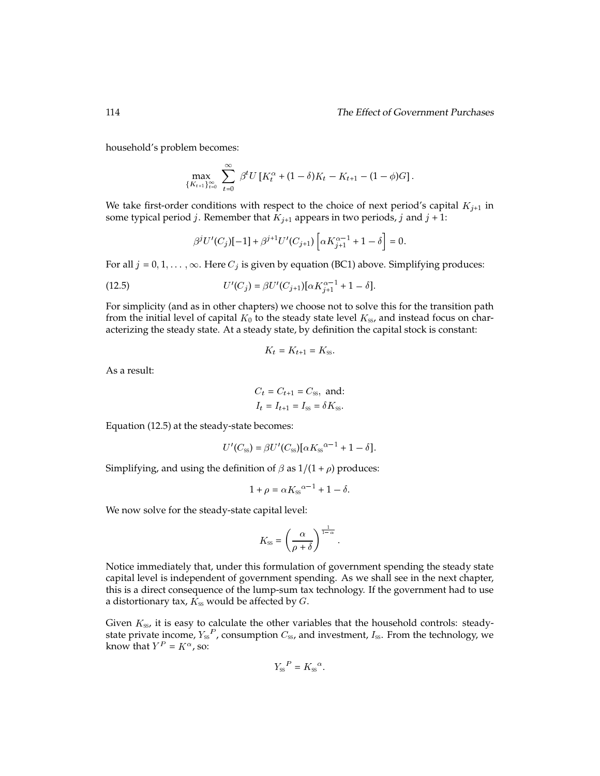household's problem becomes:

$$
\max_{\{K_{t+1}\}_{t=0}^{\infty}} \sum_{t=0}^{\infty} \beta^t U\left[K_t^{\alpha} + (1-\delta)K_t - K_{t+1} - (1-\phi)G\right].
$$

We take first-order conditions with respect to the choice of next period's capital  $K_{i+1}$  in some typical period *j*. Remember that  $K_{j+1}$  appears in two periods, *j* and *j* + 1:

$$
\beta^{j}U'(C_{j})[-1] + \beta^{j+1}U'(C_{j+1})\left[\alpha K_{j+1}^{\alpha-1} + 1 - \delta\right] = 0.
$$

For all  $j = 0, 1, \ldots, \infty$ . Here  $C_j$  is given by equation (BC1) above. Simplifying produces:

(12.5) 
$$
U'(C_j) = \beta U'(C_{j+1})[\alpha K_{j+1}^{\alpha-1} + 1 - \delta].
$$

For simplicity (and as in other chapters) we choose not to solve this for the transition path from the initial level of capital  $K_0$  to the steady state level  $K_{ss}$ , and instead focus on characterizing the steady state. At a steady state, by definition the capital stock is constant:

$$
K_t = K_{t+1} = K_{ss}
$$

As a result:

$$
C_t = C_{t+1} = C_{ss}, \text{ and:}
$$
  

$$
I_t = I_{t+1} = I_{ss} = \delta K_{ss}.
$$

Equation (12.5) at the steady-state becomes:

$$
U'(C_{\rm ss}) = \beta U'(C_{\rm ss}) [\alpha K_{\rm ss}^{\alpha-1} + 1 - \delta].
$$

Simplifying, and using the definition of  $\beta$  as  $1/(1 + \rho)$  produces:

$$
1 + \rho = \alpha K_{ss}^{\alpha - 1} + 1 - \delta.
$$

We now solve for the steady-state capital level:

$$
K_{\rm ss} = \left(\frac{\alpha}{\rho + \delta}\right)^{\frac{1}{1-\alpha}}.
$$

Notice immediately that, under this formulation of government spending the steady state capital level is independent of government spending. As we shall see in the next chapter, this is a direct consequence of the lump-sum tax technology. If the government had to use a distortionary tax,  $K_{ss}$  would be affected by  $G$ .

Given  $K_{ss}$ , it is easy to calculate the other variables that the household controls: steadystate private income,  $Y_{ss}^{F}$ , consumption  $C_{ss}$ , and investment,  $I_{ss}$ . From the technology, we know that  $Y^P = K^{\alpha}$ , so:

$$
Y_{\rm ss}{}^P = K_{\rm ss}{}^{\alpha}
$$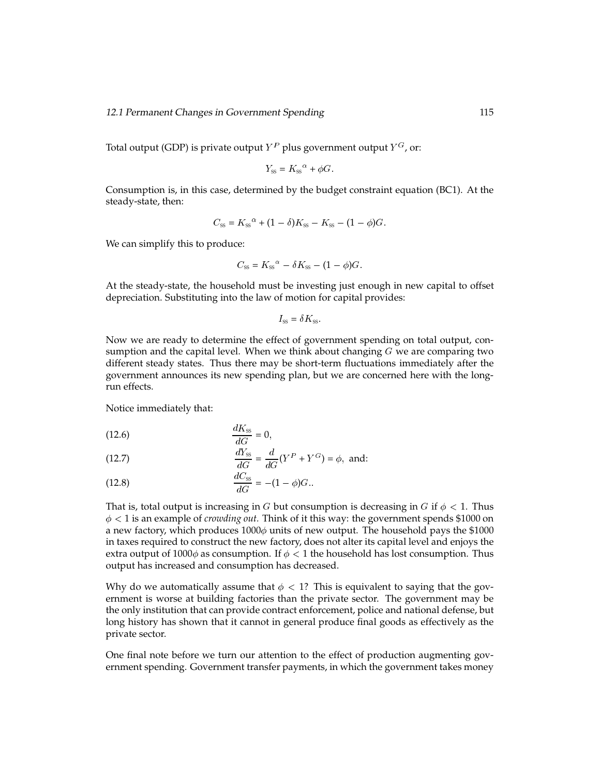Total output (GDP) is private output  $Y^P$  plus government output  $Y^G$ , or:

$$
Y_{\rm ss} = K_{\rm ss}{}^{\alpha} + \phi G.
$$

Consumption is, in this case, determined by the budget constraint equation (BC1). At the steady-state, then:

$$
C_{ss} = K_{ss}^{\alpha} + (1 - \delta)K_{ss} - K_{ss} - (1 - \phi)G.
$$

We can simplify this to produce:

$$
C_{\rm SS} = K_{\rm SS}{}^{\alpha} - \delta K_{\rm SS} - (1 - \phi)G.
$$

At the steady-state, the household must be investing just enough in new capital to offset depreciation. Substituting into the law of motion for capital provides:

$$
I_{\rm ss} = \delta K_{\rm ss}
$$

Now we are ready to determine the effect of government spending on total output, consumption and the capital level. When we think about changing  $G$  we are comparing two different steady states. Thus there may be short-term fluctuations immediately after the government announces its new spending plan, but we are concerned here with the longrun effects.

Notice immediately that:

$$
\frac{dK_{\rm ss}}{dG} = 0,
$$

(12.7) 
$$
\frac{dY_{\text{ss}}}{dG} = \frac{d}{dG}(Y^P + Y^G) = \phi, \text{ and:}
$$

(12.8) 
$$
\frac{dC_{\rm ss}}{dG} = -(1 - \phi)G.
$$

That is, total output is increasing in G but consumption is decreasing in G if  $\phi < 1$ . Thus  $\phi$  < 1 is an example of *crowding out*. Think of it this way: the government spends \$1000 on a new factory, which produces  $1000\phi$  units of new output. The household pays the \$1000 in taxes required to construct the new factory, does not alter its capital level and enjoys the extra output of 1000 $\phi$  as consumption. If  $\phi < 1$  the household has lost consumption. Thus output has increased and consumption has decreased.

Why do we automatically assume that  $\phi < 1$ ? This is equivalent to saying that the government is worse at building factories than the private sector. The government may be the only institution that can provide contract enforcement, police and national defense, but long history has shown that it cannot in general produce final goods as effectively as the private sector.

One final note before we turn our attention to the effect of production augmenting government spending. Government transfer payments, in which the government takes money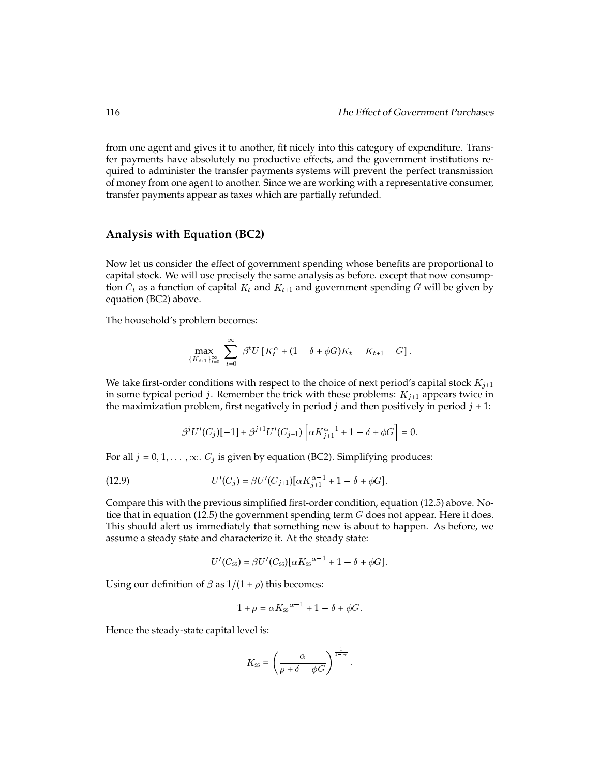from one agent and gives it to another, fit nicely into this category of expenditure. Transfer payments have absolutely no productive effects, and the government institutions required to administer the transfer payments systems will prevent the perfect transmission of money from one agent to another. Since we are working with a representative consumer, transfer payments appear as taxes which are partially refunded.

#### **Analysis with Equation (BC2)**

Now let us consider the effect of government spending whose benefits are proportional to capital stock. We will use precisely the same analysis as before. except that now consumption  $C_t$  as a function of capital  $K_t$  and  $K_{t+1}$  and government spending G will be given by equation (BC2) above.

The household's problem becomes:

$$
\max_{\{K_{t+1}\}_{t=0}^{\infty}} \sum_{t=0}^{\infty} \beta^t U\left[K_t^{\alpha} + (1-\delta + \phi G)K_t - K_{t+1} - G\right].
$$

We take first-order conditions with respect to the choice of next period's capital stock  $K_{j+1}$ in some typical period j. Remember the trick with these problems:  $K_{j+1}$  appears twice in the maximization problem, first negatively in period j and then positively in period  $j + 1$ :

$$
\beta^j U'(C_j)[-1] + \beta^{j+1} U'(C_{j+1}) \left[ \alpha K_{j+1}^{\alpha-1} + 1 - \delta + \phi G \right] = 0.
$$

For all  $j = 0, 1, \ldots, \infty$ .  $C_j$  is given by equation (BC2). Simplifying produces:

(12.9) 
$$
U'(C_j) = \beta U'(C_{j+1})[\alpha K_{j+1}^{\alpha-1} + 1 - \delta + \phi G].
$$

Compare this with the previous simplified first-order condition, equation (12.5) above. Notice that in equation (12.5) the government spending term  $G$  does not appear. Here it does. This should alert us immediately that something new is about to happen. As before, we assume a steady state and characterize it. At the steady state:

$$
U'(C_{\rm ss}) = \beta U'(C_{\rm ss}) [\alpha K_{\rm ss}^{\alpha-1} + 1 - \delta + \phi G].
$$

Using our definition of  $\beta$  as  $1/(1 + \rho)$  this becomes:

$$
1 + \rho = \alpha K_{ss}^{\alpha - 1} + 1 - \delta + \phi G.
$$

Hence the steady-state capital level is:

$$
K_{\rm ss} = \left(\frac{\alpha}{\rho + \delta - \phi G}\right)^{\frac{1}{1-\alpha}}.
$$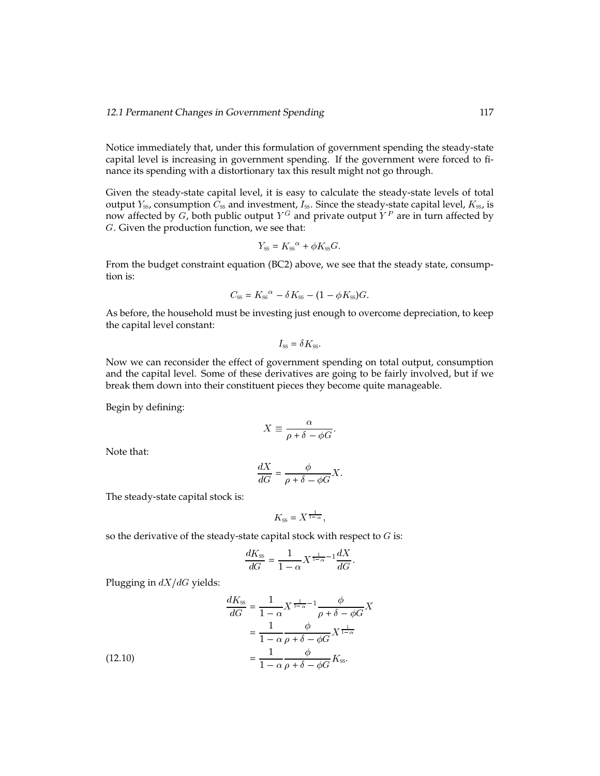Notice immediately that, under this formulation of government spending the steady-state capital level is increasing in government spending. If the government were forced to finance its spending with a distortionary tax this result might not go through.

Given the steady-state capital level, it is easy to calculate the steady-state levels of total output  $Y_{ss}$ , consumption  $\bar{C}_{ss}$  and investment,  $I_{ss}$ . Since the steady-state capital level,  $K_{ss}$ , is now affected by G, both public output  $Y^G$  and private output  $Y^P$  are in turn affected by G. Given the production function, we see that:

$$
Y_{\rm ss} = K_{\rm ss}^{\alpha} + \phi K_{\rm ss} G.
$$

From the budget constraint equation (BC2) above, we see that the steady state, consumption is:

$$
C_{ss} = K_{ss}^{\alpha} - \delta K_{ss} - (1 - \phi K_{ss})G.
$$

As before, the household must be investing just enough to overcome depreciation, to keep the capital level constant:

$$
I_{\rm ss} = \delta K_{\rm ss}
$$

Now we can reconsider the effect of government spending on total output, consumption and the capital level. Some of these derivatives are going to be fairly involved, but if we break them down into their constituent pieces they become quite manageable.

Begin by defining:

$$
X \equiv \frac{\alpha}{\rho + \delta - \phi G}.
$$

Note that:

$$
\frac{dX}{dG} = \frac{\phi}{\rho + \delta - \phi G} X.
$$

The steady-state capital stock is:

$$
K_{\rm SS} = X^{\frac{1}{1-\alpha}},
$$

so the derivative of the steady-state capital stock with respect to  $G$  is:

$$
\frac{dK_{\rm ss}}{dG} = \frac{1}{1-\alpha} X^{\frac{1}{1-\alpha}-1} \frac{dX}{dG}.
$$

Plugging in  $dX/dG$  yields:

(12.10)  
\n
$$
\frac{dK_{\rm ss}}{dG} = \frac{1}{1-\alpha} X^{\frac{1}{1-\alpha}-1} \frac{\phi}{\rho+\delta-\phi G} X
$$
\n
$$
= \frac{1}{1-\alpha} \frac{\phi}{\rho+\delta-\phi G} X^{\frac{1}{1-\alpha}}
$$
\n
$$
= \frac{1}{1-\alpha} \frac{\phi}{\rho+\delta-\phi G} K_{\rm ss}.
$$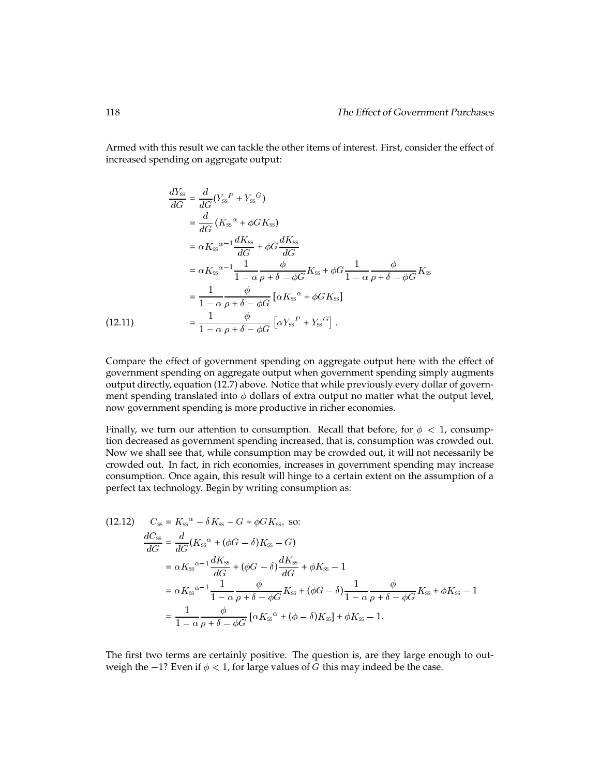Armed with this result we can tackle the other items of interest. First, consider the effect of increased spending on aggregate output:

$$
\frac{dY_{ss}}{dG} = \frac{d}{dG}(Y_{ss}^{P} + Y_{ss}^{G})
$$
\n
$$
= \frac{d}{dG}(K_{ss}^{\alpha} + \phi G K_{ss})
$$
\n
$$
= \alpha K_{ss}^{\alpha - 1} \frac{dK_{ss}}{dG} + \phi G \frac{dK_{ss}}{dG}
$$
\n
$$
= \alpha K_{ss}^{\alpha - 1} \frac{1}{1 - \alpha} \frac{\phi}{\rho + \delta - \phi G} K_{ss} + \phi G \frac{1}{1 - \alpha} \frac{\phi}{\rho + \delta - \phi G} K_{ss}
$$
\n
$$
= \frac{1}{1 - \alpha} \frac{\phi}{\rho + \delta - \phi G} [\alpha K_{ss}^{\alpha} + \phi G K_{ss}]
$$
\n(12.11)\n
$$
= \frac{1}{1 - \alpha} \frac{\phi}{\rho + \delta - \phi G} [\alpha Y_{ss}^{P} + Y_{ss}^{G}].
$$

Compare the effect of government spending on aggregate output here with the effect of government spending on aggregate output when government spending simply augments output directly, equation (12.7) above. Notice that while previously every dollar of government spending translated into  $\phi$  dollars of extra output no matter what the output level, now government spending is more productive in richer economies.

Finally, we turn our attention to consumption. Recall that before, for  $\phi < 1$ , consumption decreased as government spending increased, that is, consumption was crowded out. Now we shall see that, while consumption may be crowded out, it will not necessarily be crowded out. In fact, in rich economies, increases in government spending may increase consumption. Once again, this result will hinge to a certain extent on the assumption of a perfect tax technology. Begin by writing consumption as:

(12.12) 
$$
C_{ss} = K_{ss}^{\alpha} - \delta K_{ss} - G + \phi G K_{ss}, \text{ so:}
$$

$$
\frac{dC_{ss}}{dG} = \frac{d}{dG}(K_{ss}^{\alpha} + (\phi G - \delta)K_{ss} - G)
$$

$$
= \alpha K_{ss}^{\alpha - 1} \frac{dK_{ss}}{dG} + (\phi G - \delta) \frac{dK_{ss}}{dG} + \phi K_{ss} - 1
$$

$$
= \alpha K_{ss}^{\alpha - 1} \frac{1}{1 - \alpha} \frac{\phi}{\rho + \delta - \phi G} K_{ss} + (\phi G - \delta) \frac{1}{1 - \alpha} \frac{\phi}{\rho + \delta - \phi G} K_{ss} + \phi K_{ss} - 1
$$

$$
= \frac{1}{1 - \alpha} \frac{\phi}{\rho + \delta - \phi G} [\alpha K_{ss}^{\alpha} + (\phi - \delta)K_{ss}] + \phi K_{ss} - 1.
$$

The first two terms are certainly positive. The question is, are they large enough to outweigh the  $-1$ ? Even if  $\phi < 1$ , for large values of G this may indeed be the case.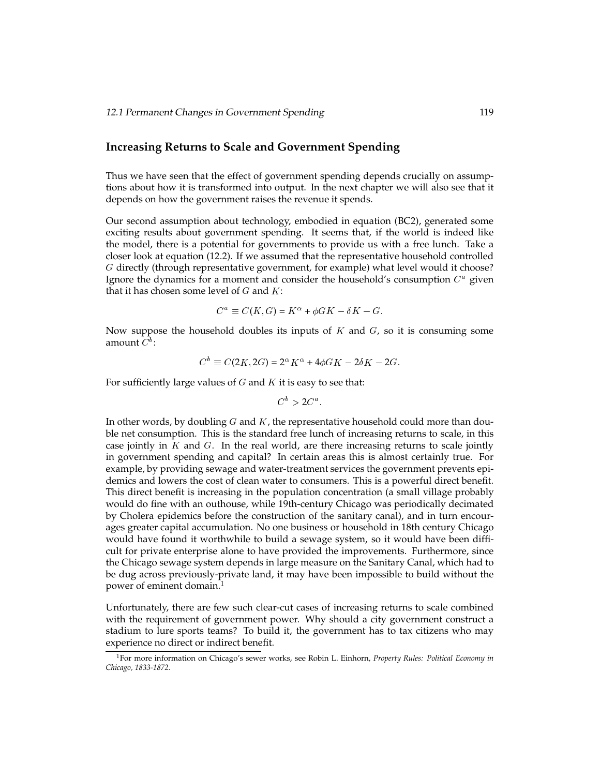#### **Increasing Returns to Scale and Government Spending**

Thus we have seen that the effect of government spending depends crucially on assumptions about how it is transformed into output. In the next chapter we will also see that it depends on how the government raises the revenue it spends.

Our second assumption about technology, embodied in equation (BC2), generated some exciting results about government spending. It seems that, if the world is indeed like the model, there is a potential for governments to provide us with a free lunch. Take a closer look at equation (12.2). If we assumed that the representative household controlled G directly (through representative government, for example) what level would it choose? Ignore the dynamics for a moment and consider the household's consumption  $C^a$  given that it has chosen some level of  $G$  and  $K$ :

$$
C^a \equiv C(K, G) = K^{\alpha} + \phi G K - \delta K - G.
$$

Now suppose the household doubles its inputs of  $K$  and  $G$ , so it is consuming some amount  $C^b$ :

$$
C^b \equiv C(2K, 2G) = 2^{\alpha} K^{\alpha} + 4\phi GK - 2\delta K - 2G.
$$

For sufficiently large values of  $G$  and  $K$  it is easy to see that:

$$
C^b > 2C^a.
$$

In other words, by doubling  $G$  and  $K$ , the representative household could more than double net consumption. This is the standard free lunch of increasing returns to scale, in this case jointly in  $K$  and  $G$ . In the real world, are there increasing returns to scale jointly in government spending and capital? In certain areas this is almost certainly true. For example, by providing sewage and water-treatment services the government prevents epidemics and lowers the cost of clean water to consumers. This is a powerful direct benefit. This direct benefit is increasing in the population concentration (a small village probably would do fine with an outhouse, while 19th-century Chicago was periodically decimated by Cholera epidemics before the construction of the sanitary canal), and in turn encourages greater capital accumulation. No one business or household in 18th century Chicago would have found it worthwhile to build a sewage system, so it would have been difficult for private enterprise alone to have provided the improvements. Furthermore, since the Chicago sewage system depends in large measure on the Sanitary Canal, which had to be dug across previously-private land, it may have been impossible to build without the power of eminent domain.<sup>1</sup>

Unfortunately, there are few such clear-cut cases of increasing returns to scale combined with the requirement of government power. Why should a city government construct a stadium to lure sports teams? To build it, the government has to tax citizens who may experience no direct or indirect benefit.

<sup>1</sup>For more information on Chicago's sewer works, see Robin L. Einhorn, *Property Rules: Political Economy in Chicago, 1833-1872.*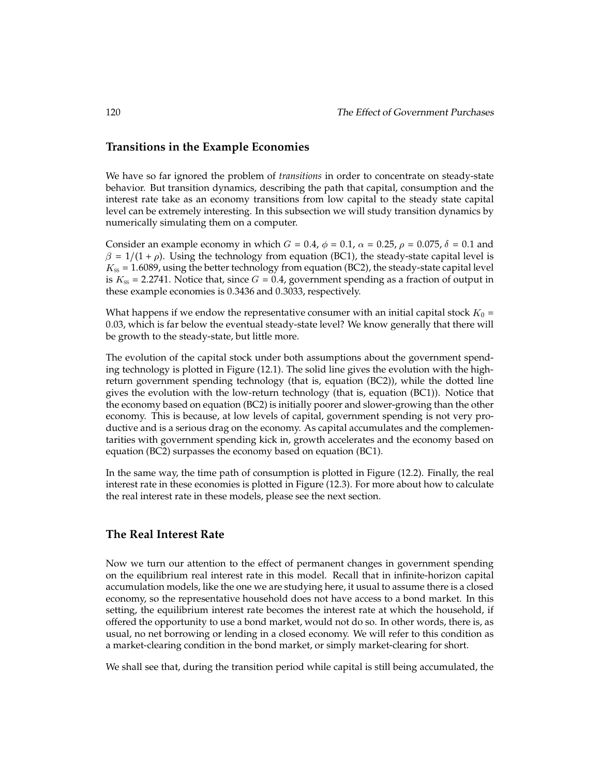#### **Transitions in the Example Economies**

We have so far ignored the problem of *transitions* in order to concentrate on steady-state behavior. But transition dynamics, describing the path that capital, consumption and the interest rate take as an economy transitions from low capital to the steady state capital level can be extremely interesting. In this subsection we will study transition dynamics by numerically simulating them on a computer.

Consider an example economy in which  $G = 0.4$ ,  $\phi = 0.1$ ,  $\alpha = 0.25$ ,  $\rho = 0.075$ ,  $\delta = 0.1$  and  $\beta = 1/(1 + \rho)$ . Using the technology from equation (BC1), the steady-state capital level is  $K_{\rm ss}$  = 1.6089, using the better technology from equation (BC2), the steady-state capital level is  $K_{\rm ss}$  = 2.2741. Notice that, since  $G = 0.4$ , government spending as a fraction of output in these example economies is 0:3436 and 0:3033, respectively.

What happens if we endow the representative consumer with an initial capital stock  $K_0 =$ 0:03, which is far below the eventual steady-state level? We know generally that there will be growth to the steady-state, but little more.

The evolution of the capital stock under both assumptions about the government spending technology is plotted in Figure (12.1). The solid line gives the evolution with the highreturn government spending technology (that is, equation (BC2)), while the dotted line gives the evolution with the low-return technology (that is, equation (BC1)). Notice that the economy based on equation (BC2) is initially poorer and slower-growing than the other economy. This is because, at low levels of capital, government spending is not very productive and is a serious drag on the economy. As capital accumulates and the complementarities with government spending kick in, growth accelerates and the economy based on equation (BC2) surpasses the economy based on equation (BC1).

In the same way, the time path of consumption is plotted in Figure (12.2). Finally, the real interest rate in these economies is plotted in Figure (12.3). For more about how to calculate the real interest rate in these models, please see the next section.

### **The Real Interest Rate**

Now we turn our attention to the effect of permanent changes in government spending on the equilibrium real interest rate in this model. Recall that in infinite-horizon capital accumulation models, like the one we are studying here, it usual to assume there is a closed economy, so the representative household does not have access to a bond market. In this setting, the equilibrium interest rate becomes the interest rate at which the household, if offered the opportunity to use a bond market, would not do so. In other words, there is, as usual, no net borrowing or lending in a closed economy. We will refer to this condition as a market-clearing condition in the bond market, or simply market-clearing for short.

We shall see that, during the transition period while capital is still being accumulated, the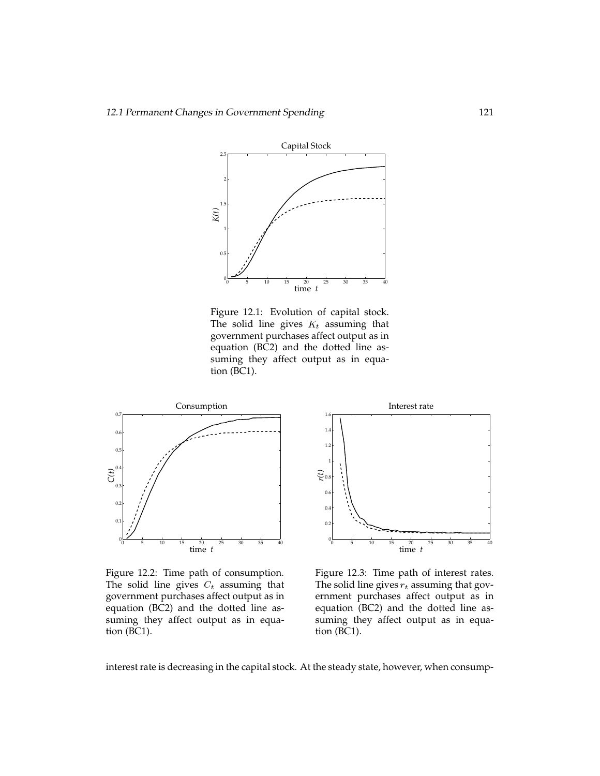

Figure 12.1: Evolution of capital stock. The solid line gives  $K_t$  assuming that government purchases affect output as in equation (BC2) and the dotted line assuming they affect output as in equation (BC1).



Figure 12.2: Time path of consumption. The solid line gives  $C_t$  assuming that government purchases affect output as in equation (BC2) and the dotted line assuming they affect output as in equation (BC1).



Figure 12.3: Time path of interest rates. The solid line gives  $r_t$  assuming that government purchases affect output as in equation (BC2) and the dotted line assuming they affect output as in equation (BC1).

interest rate is decreasing in the capital stock. At the steady state, however, when consump-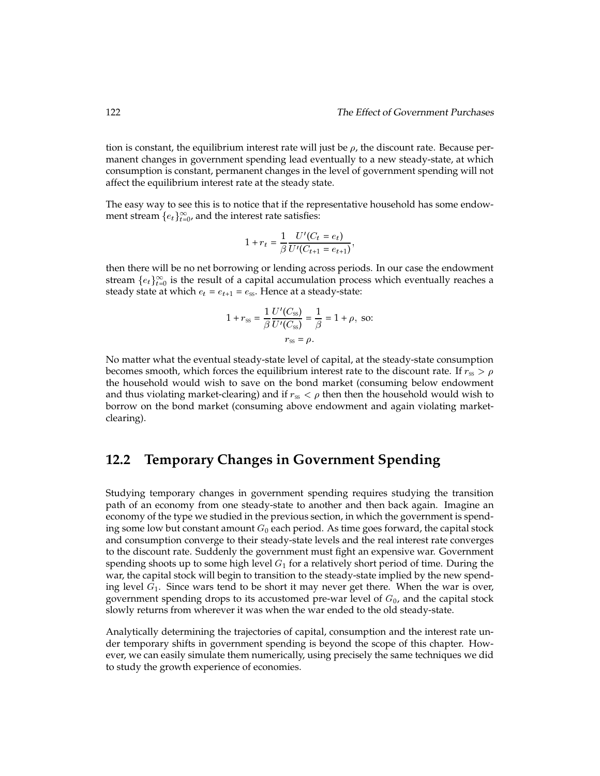tion is constant, the equilibrium interest rate will just be  $\rho$ , the discount rate. Because permanent changes in government spending lead eventually to a new steady-state, at which consumption is constant, permanent changes in the level of government spending will not affect the equilibrium interest rate at the steady state.

The easy way to see this is to notice that if the representative household has some endowment stream  $\{e_t\}_{t=0}^\infty$ , and the interest rate satisfies:

$$
1 + r_t = \frac{1}{\beta} \frac{U'(C_t = e_t)}{U'(C_{t+1} = e_{t+1})},
$$

then there will be no net borrowing or lending across periods. In our case the endowment stream  $\{e_t\}_{t=0}^\infty$  is the result of a capital accumulation process which eventually reaches a steady state at which  $e_t = e_{t+1} = e_{ss}$ . Hence at a steady-state:

$$
1 + r_{ss} = \frac{1}{\beta} \frac{U'(C_{ss})}{U'(C_{ss})} = \frac{1}{\beta} = 1 + \rho, \text{ so:}
$$
  

$$
r_{ss} = \rho.
$$

No matter what the eventual steady-state level of capital, at the steady-state consumption becomes smooth, which forces the equilibrium interest rate to the discount rate. If  $r_{ss} > \rho$ the household would wish to save on the bond market (consuming below endowment and thus violating market-clearing) and if  $r_{ss} < \rho$  then then the household would wish to borrow on the bond market (consuming above endowment and again violating marketclearing).

# **12.2 Temporary Changes in Government Spending**

Studying temporary changes in government spending requires studying the transition path of an economy from one steady-state to another and then back again. Imagine an economy of the type we studied in the previous section, in which the government is spending some low but constant amount  $G_0$  each period. As time goes forward, the capital stock and consumption converge to their steady-state levels and the real interest rate converges to the discount rate. Suddenly the government must fight an expensive war. Government spending shoots up to some high level  $G_1$  for a relatively short period of time. During the war, the capital stock will begin to transition to the steady-state implied by the new spending level  $G_1$ . Since wars tend to be short it may never get there. When the war is over, government spending drops to its accustomed pre-war level of  $G_0$ , and the capital stock slowly returns from wherever it was when the war ended to the old steady-state.

Analytically determining the trajectories of capital, consumption and the interest rate under temporary shifts in government spending is beyond the scope of this chapter. However, we can easily simulate them numerically, using precisely the same techniques we did to study the growth experience of economies.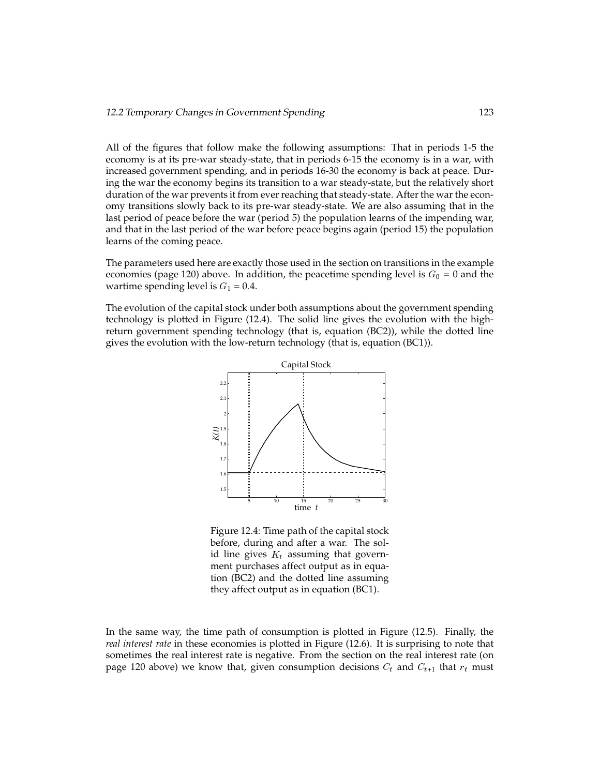All of the figures that follow make the following assumptions: That in periods 1-5 the economy is at its pre-war steady-state, that in periods 6-15 the economy is in a war, with increased government spending, and in periods 16-30 the economy is back at peace. During the war the economy begins its transition to a war steady-state, but the relatively short duration of the war prevents it from ever reaching that steady-state. After the war the economy transitions slowly back to its pre-war steady-state. We are also assuming that in the last period of peace before the war (period 5) the population learns of the impending war, and that in the last period of the war before peace begins again (period 15) the population learns of the coming peace.

The parameters used here are exactly those used in the section on transitions in the example economies (page 120) above. In addition, the peacetime spending level is  $G_0 = 0$  and the wartime spending level is  $G_1 = 0.4$ .

The evolution of the capital stock under both assumptions about the government spending technology is plotted in Figure (12.4). The solid line gives the evolution with the highreturn government spending technology (that is, equation (BC2)), while the dotted line gives the evolution with the low-return technology (that is, equation (BC1)).



Figure 12.4: Time path of the capital stock before, during and after a war. The solid line gives  $K_t$  assuming that government purchases affect output as in equation (BC2) and the dotted line assuming they affect output as in equation (BC1).

In the same way, the time path of consumption is plotted in Figure (12.5). Finally, the *real interest rate* in these economies is plotted in Figure (12.6). It is surprising to note that sometimes the real interest rate is negative. From the section on the real interest rate (on page 120 above) we know that, given consumption decisions  $C_t$  and  $C_{t+1}$  that  $r_t$  must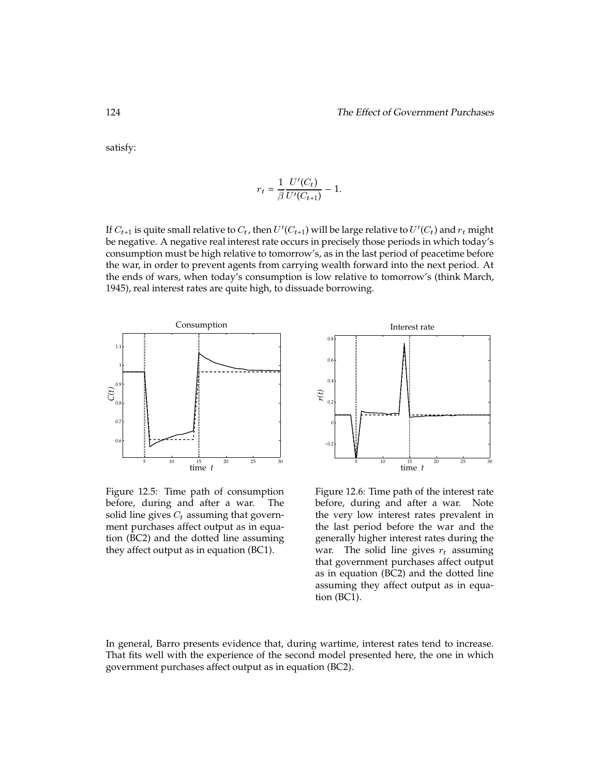satisfy:

$$
r_t = \frac{1}{\beta} \frac{U'(C_t)}{U'(C_{t+1})} - 1.
$$

If  $C_{t+1}$  is quite small relative to  $C_t$ , then  $U^{\prime}(C_{t+1})$  will be large relative to  $U^{\prime}(C_t)$  and  $r_t$  might be negative. A negative real interest rate occurs in precisely those periods in which today's consumption must be high relative to tomorrow's, as in the last period of peacetime before the war, in order to prevent agents from carrying wealth forward into the next period. At the ends of wars, when today's consumption is low relative to tomorrow's (think March, 1945), real interest rates are quite high, to dissuade borrowing.



Figure 12.5: Time path of consumption before, during and after a war. The solid line gives  $C_t$  assuming that government purchases affect output as in equation (BC2) and the dotted line assuming they affect output as in equation (BC1).



Figure 12.6: Time path of the interest rate before, during and after a war. Note the very low interest rates prevalent in the last period before the war and the generally higher interest rates during the war. The solid line gives  $r_t$  assuming that government purchases affect output as in equation (BC2) and the dotted line assuming they affect output as in equation (BC1).

In general, Barro presents evidence that, during wartime, interest rates tend to increase. That fits well with the experience of the second model presented here, the one in which government purchases affect output as in equation (BC2).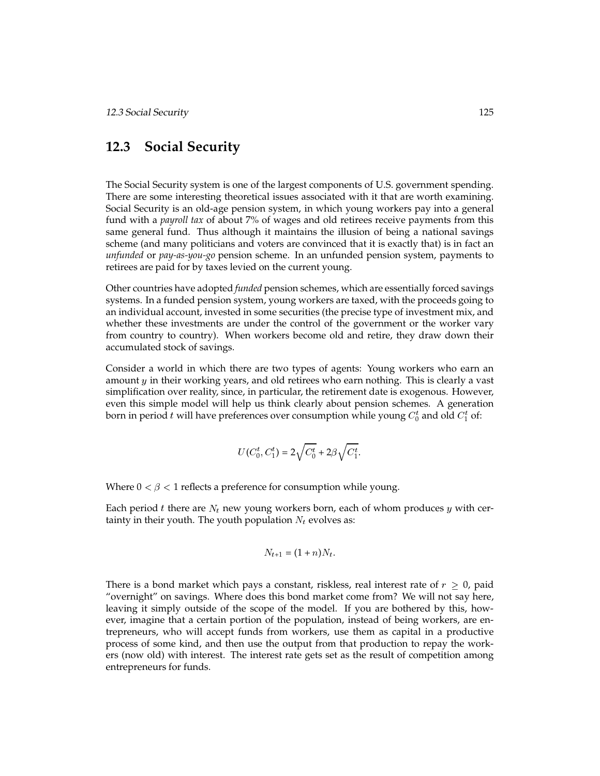# **12.3 Social Security**

The Social Security system is one of the largest components of U.S. government spending. There are some interesting theoretical issues associated with it that are worth examining. Social Security is an old-age pension system, in which young workers pay into a general fund with a *payroll tax* of about 7% of wages and old retirees receive payments from this same general fund. Thus although it maintains the illusion of being a national savings scheme (and many politicians and voters are convinced that it is exactly that) is in fact an *unfunded* or *pay-as-you-go* pension scheme. In an unfunded pension system, payments to retirees are paid for by taxes levied on the current young.

Other countries have adopted *funded* pension schemes, which are essentially forced savings systems. In a funded pension system, young workers are taxed, with the proceeds going to an individual account, invested in some securities (the precise type of investment mix, and whether these investments are under the control of the government or the worker vary from country to country). When workers become old and retire, they draw down their accumulated stock of savings.

Consider a world in which there are two types of agents: Young workers who earn an amount <sup>y</sup> in their working years, and old retirees who earn nothing. This is clearly a vast simplification over reality, since, in particular, the retirement date is exogenous. However, even this simple model will help us think clearly about pension schemes. A generation born in period  $t$  will have preferences over consumption while young  $C_0^t$  and old  $C_1^t$  of:

$$
U(C_0^t, C_1^t) = 2\sqrt{C_0^t} + 2\beta\sqrt{C_1^t}.
$$

Where  $0 < \beta < 1$  reflects a preference for consumption while young.

Each period t there are  $N_t$  new young workers born, each of whom produces y with certainty in their youth. The youth population  $N_t$  evolves as:

$$
N_{t+1} = (1+n)N_t.
$$

There is a bond market which pays a constant, riskless, real interest rate of  $r \geq 0$ , paid "overnight" on savings. Where does this bond market come from? We will not say here, leaving it simply outside of the scope of the model. If you are bothered by this, however, imagine that a certain portion of the population, instead of being workers, are entrepreneurs, who will accept funds from workers, use them as capital in a productive process of some kind, and then use the output from that production to repay the workers (now old) with interest. The interest rate gets set as the result of competition among entrepreneurs for funds.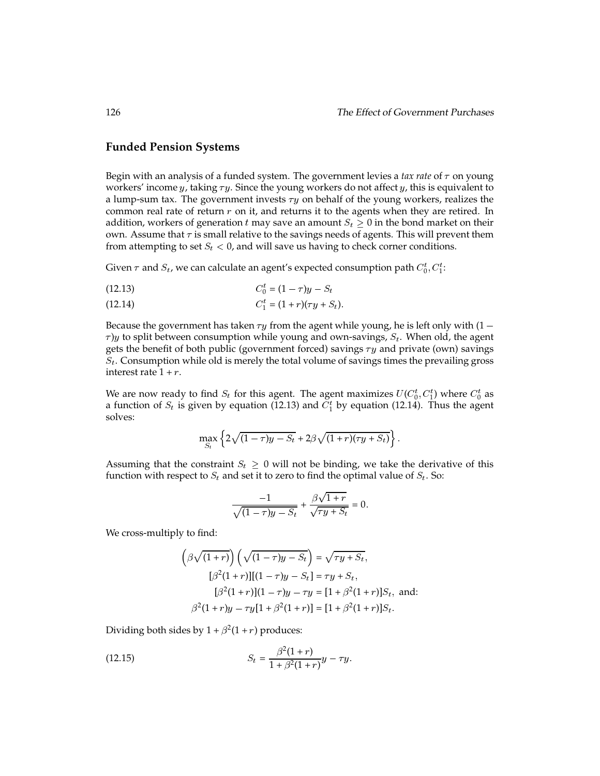#### **Funded Pension Systems**

Begin with an analysis of a funded system. The government levies a *tax rate* of  $\tau$  on young workers' income  $y$ , taking  $\tau y$ . Since the young workers do not affect  $y$ , this is equivalent to a lump-sum tax. The government invests  $\tau y$  on behalf of the young workers, realizes the common real rate of return  $r$  on it, and returns it to the agents when they are retired. In addition, workers of generation t may save an amount  $S_t \geq 0$  in the bond market on their own. Assume that  $\tau$  is small relative to the savings needs of agents. This will prevent them from attempting to set  $S_t < 0$ , and will save us having to check corner conditions.

Given  $\tau$  and  $S_t$ , we can calculate an agent's expected consumption path  $C_0^t, C_1^t$ :

$$
(12.13) \t C_0^t = (1 - \tau)y - S_t
$$

(12.14) 
$$
C_1^t = (1+r)(\tau y + S_t).
$$

Because the government has taken  $\tau y$  from the agent while young, he is left only with (1 –  $\tau$ )y to split between consumption while young and own-savings,  $S_t$ . When old, the agent gets the benefit of both public (government forced) savings  $\tau y$  and private (own) savings  $S_t$ . Consumption while old is merely the total volume of savings times the prevailing gross interest rate  $1 + r$ .

We are now ready to find  $S_t$  for this agent. The agent maximizes  $U(C_0^t, C_1^t)$  where  $C_0^t$  as a function of  $S_t$  is given by equation (12.13) and  $C_1^t$  by equation (12.14). Thus the agent solves:

$$
\max_{S_t} \left\{ 2\sqrt{(1-\tau)y-S_t} + 2\beta\sqrt{(1+r)(\tau y+S_t)} \right\}.
$$

Assuming that the constraint  $S_t \geq 0$  will not be binding, we take the derivative of this function with respect to  $S_t$  and set it to zero to find the optimal value of  $S_t$ . So:

$$
\frac{-1}{\sqrt{(1-\tau)y-S_t}} + \frac{\beta\sqrt{1+r}}{\sqrt{\tau y+S_t}} = 0.
$$

We cross-multiply to find:

$$
\left(\beta\sqrt{(1+r)}\right)\left(\sqrt{(1-\tau)y-S_t}\right) = \sqrt{\tau y+S_t},
$$
  
\n
$$
[\beta^2(1+r)][(1-\tau)y-S_t] = \tau y+S_t,
$$
  
\n
$$
[\beta^2(1+r)](1-\tau)y-\tau y=[1+\beta^2(1+r)]S_t, \text{ and:}
$$
  
\n
$$
\beta^2(1+r)y-\tau y[1+\beta^2(1+r)] = [1+\beta^2(1+r)]S_t.
$$

Dividing both sides by  $1 + \beta^2(1+r)$  produces:

(12.15) 
$$
S_t = \frac{\beta^2 (1+r)}{1+\beta^2 (1+r)} y - \tau y.
$$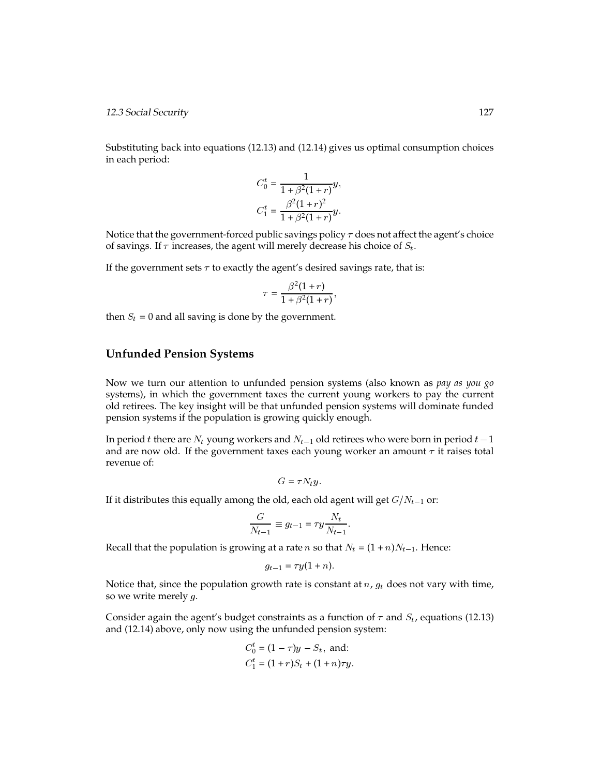12.3 Social Security 127

Substituting back into equations (12.13) and (12.14) gives us optimal consumption choices in each period:

$$
C_0^t = \frac{1}{1 + \beta^2 (1+r)} y,
$$
  
\n
$$
C_1^t = \frac{\beta^2 (1+r)^2}{1 + \beta^2 (1+r)} y.
$$

Notice that the government-forced public savings policy  $\tau$  does not affect the agent's choice of savings. If  $\tau$  increases, the agent will merely decrease his choice of  $S_t$ .

If the government sets  $\tau$  to exactly the agent's desired savings rate, that is:

$$
\tau = \frac{\beta^2 (1+r)}{1 + \beta^2 (1+r)},
$$

then  $S_t = 0$  and all saving is done by the government.

### **Unfunded Pension Systems**

Now we turn our attention to unfunded pension systems (also known as *pay as you go* systems), in which the government taxes the current young workers to pay the current old retirees. The key insight will be that unfunded pension systems will dominate funded pension systems if the population is growing quickly enough.

In period t there are  $N_t$  young workers and  $N_{t-1}$  old retirees who were born in period  $t-1$ and are now old. If the government taxes each young worker an amount  $\tau$  it raises total revenue of:

$$
G=\tau N_t y.
$$

If it distributes this equally among the old, each old agent will get  $G/N_{t-1}$  or:

$$
\frac{G}{N_{t-1}} \equiv g_{t-1} = \tau y \frac{N_t}{N_{t-1}}.
$$

Recall that the population is growing at a rate *n* so that  $N_t = (1 + n)N_{t-1}$ . Hence:

$$
g_{t-1} = \tau y(1+n).
$$

Notice that, since the population growth rate is constant at  $n$ ,  $g_t$  does not vary with time, so we write merely  $g$ .

Consider again the agent's budget constraints as a function of  $\tau$  and  $S_t$ , equations (12.13) and (12.14) above, only now using the unfunded pension system:

$$
C_0^t = (1 - \tau)y - S_t
$$
, and:  
\n $C_1^t = (1 + r)S_t + (1 + n)\tau y$ .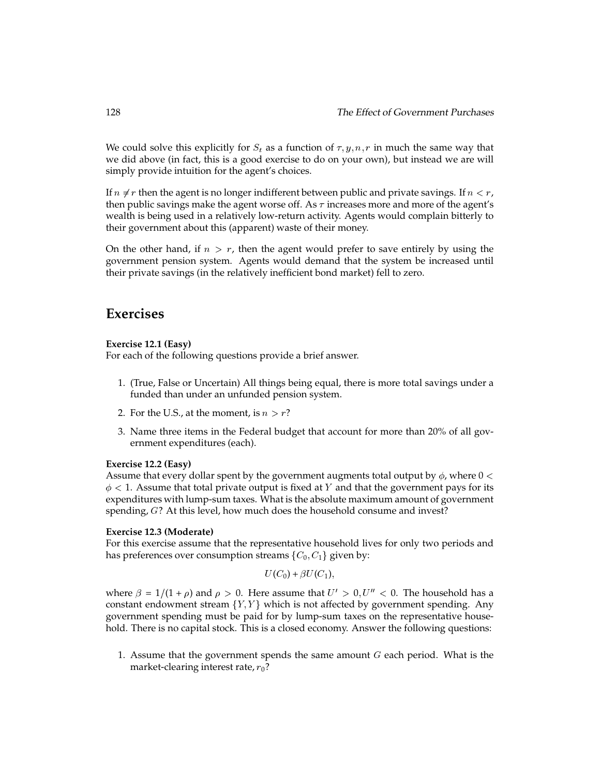We could solve this explicitly for  $S_t$  as a function of  $\tau, y, n, r$  in much the same way that we did above (in fact, this is a good exercise to do on your own), but instead we are will simply provide intuition for the agent's choices.

If  $n \neq r$  then the agent is no longer indifferent between public and private savings. If  $n < r$ , then public savings make the agent worse off. As  $\tau$  increases more and more of the agent's wealth is being used in a relatively low-return activity. Agents would complain bitterly to their government about this (apparent) waste of their money.

On the other hand, if  $n > r$ , then the agent would prefer to save entirely by using the government pension system. Agents would demand that the system be increased until their private savings (in the relatively inefficient bond market) fell to zero.

## **Exercises**

#### **Exercise 12.1 (Easy)**

For each of the following questions provide a brief answer.

- 1. (True, False or Uncertain) All things being equal, there is more total savings under a funded than under an unfunded pension system.
- 2. For the U.S., at the moment, is  $n > r$ ?
- 3. Name three items in the Federal budget that account for more than 20% of all government expenditures (each).

#### **Exercise 12.2 (Easy)**

Assume that every dollar spent by the government augments total output by  $\phi$ , where  $0 <$  $\phi$  < 1. Assume that total private output is fixed at Y and that the government pays for its expenditures with lump-sum taxes. What is the absolute maximum amount of government spending, <sup>G</sup>? At this level, how much does the household consume and invest?

#### **Exercise 12.3 (Moderate)**

For this exercise assume that the representative household lives for only two periods and has preferences over consumption streams  $\{C_0, C_1\}$  given by:

$$
U(C_0)+\beta U(C_1),
$$

where  $\beta = 1/(1 + \rho)$  and  $\rho > 0$ . Here assume that  $U' > 0, U'' < 0$ . The household has a constant endowment stream  ${Y, Y}$  which is not affected by government spending. Any government spending must be paid for by lump-sum taxes on the representative household. There is no capital stock. This is a closed economy. Answer the following questions:

1. Assume that the government spends the same amount  $G$  each period. What is the market-clearing interest rate,  $r_0$ ?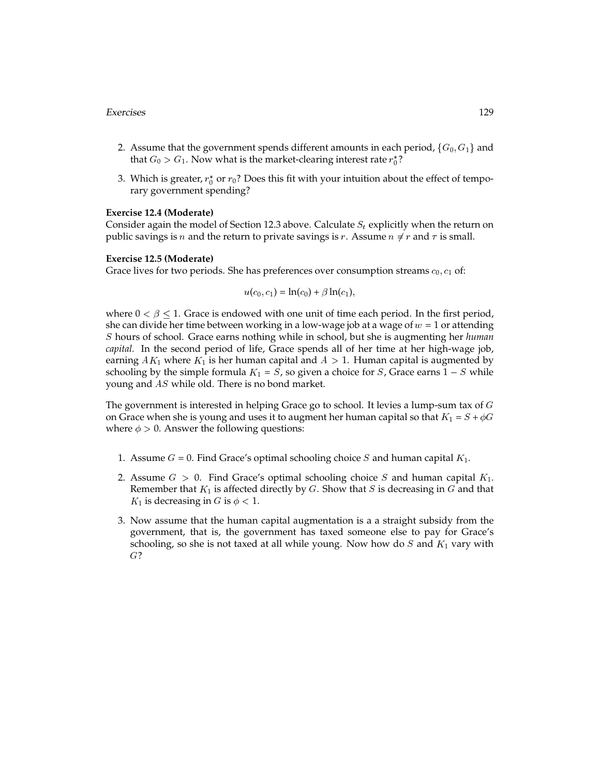#### Exercises 129

- 2. Assume that the government spends different amounts in each period,  $\{G_0, G_1\}$  and that  $G_0 > G_1.$  Now what is the market-clearing interest rate  $r_0^\ast ?$
- 3. Which is greater,  $r_0^*$  or  $r_0$ ? Does this fit with your intuition about the effect of temporary government spending?

#### **Exercise 12.4 (Moderate)**

Consider again the model of Section 12.3 above. Calculate  $S_t$  explicitly when the return on public savings is *n* and the return to private savings is *r*. Assume  $n \neq r$  and  $\tau$  is small.

#### **Exercise 12.5 (Moderate)**

Grace lives for two periods. She has preferences over consumption streams  $c_0, c_1$  of:

$$
u(c_0, c_1) = \ln(c_0) + \beta \ln(c_1),
$$

where  $0 < \beta \leq 1$ . Grace is endowed with one unit of time each period. In the first period, she can divide her time between working in a low-wage job at a wage of  $w = 1$  or attending S hours of school. Grace earns nothing while in school, but she is augmenting her *human capital.* In the second period of life, Grace spends all of her time at her high-wage job, earning  $AK_1$  where  $K_1$  is her human capital and  $A > 1$ . Human capital is augmented by schooling by the simple formula  $K_1 = S$ , so given a choice for S, Grace earns  $1 - S$  while young and AS while old. There is no bond market.

The government is interested in helping Grace go to school. It levies a lump-sum tax of  $G$ on Grace when she is young and uses it to augment her human capital so that  $K_1 = S + \phi G$ where  $\phi > 0$ . Answer the following questions:

- 1. Assume  $G = 0$ . Find Grace's optimal schooling choice S and human capital  $K_1$ .
- 2. Assume  $G > 0$ . Find Grace's optimal schooling choice S and human capital  $K_1$ . Remember that  $K_1$  is affected directly by  $G$ . Show that  $S$  is decreasing in  $G$  and that  $K_1$  is decreasing in G is  $\phi$  < 1.
- 3. Now assume that the human capital augmentation is a a straight subsidy from the government, that is, the government has taxed someone else to pay for Grace's schooling, so she is not taxed at all while young. Now how do  $S$  and  $K_1$  vary with G?